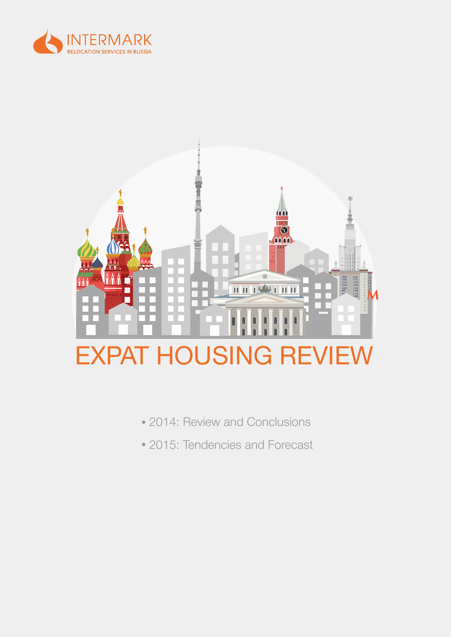



- 2014: Review and Conclusions
- 2015: Tendencies and Forecast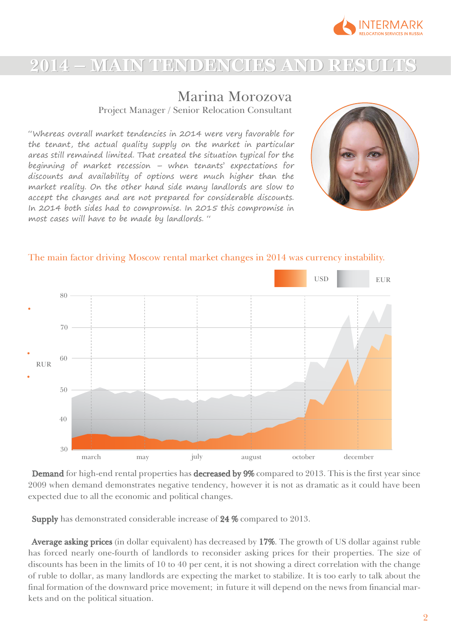

## **2014 – MAIN TENDENCIES AND RESULTS – MAIN TENDENCIES AND RESULTS**

## Marina Morozova

Project Manager / Senior Relocation Consultant

"Whereas overall market tendencies in 2014 were very favorable for the tenant, the actual quality supply on the market in particular areas still remained limited. That created the situation typical for the beginning of market recession – when tenants' expectations for discounts and availability of options were much higher than the market reality. On the other hand side many landlords are slow to accept the changes and are not prepared for considerable discounts. In 2014 both sides had to compromise. In 2015 this compromise in most cases will have to be made by landlords. "





#### The main factor driving Moscow rental market changes in 2014 was currency instability.

Demand for high-end rental properties has decreased by 9% compared to 2013. This is the first year since 2009 when demand demonstrates negative tendency, however it is not as dramatic as it could have been expected due to all the economic and political changes.

Supply has demonstrated considerable increase of 24 % compared to 2013.

Average asking prices (in dollar equivalent) has decreased by 17%. The growth of US dollar against ruble has forced nearly one-fourth of landlords to reconsider asking prices for their properties. The size of discounts has been in the limits of 10 to 40 per cent, it is not showing a direct correlation with the change of ruble to dollar, as many landlords are expecting the market to stabilize. It is too early to talk about the final formation of the downward price movement; in future it will depend on the news from financial markets and on the political situation.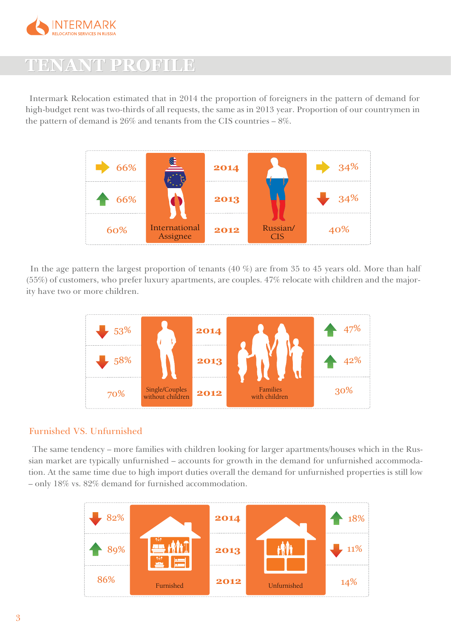

## **TENANT PROFILE TENANT PROFILE**

Intermark Relocation estimated that in 2014 the proportion of foreigners in the pattern of demand for high-budget rent was two-thirds of all requests, the same as in 2013 year. Proportion of our countrymen in the pattern of demand is 26% and tenants from the CIS countries – 8%.



In the age pattern the largest proportion of tenants (40 %) are from 35 to 45 years old. More than half (55%) of customers, who prefer luxury apartments, are couples. 47% relocate with children and the majority have two or more children.



#### Furnished VS. Unfurnished

The same tendency – more families with children looking for larger apartments/houses which in the Russian market are typically unfurnished – accounts for growth in the demand for unfurnished accommodation. At the same time due to high import duties overall the demand for unfurnished properties is still low – only 18% vs. 82% demand for furnished accommodation.

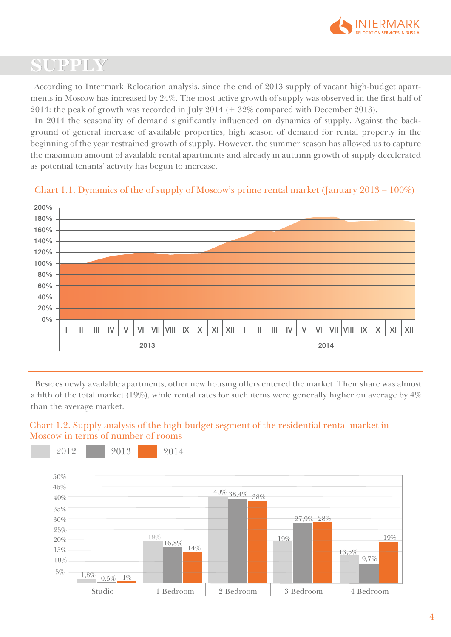

# **SUPPLY**

According to Intermark Relocation analysis, since the end of 2013 supply of vacant high-budget apartments in Moscow has increased by 24%. The most active growth of supply was observed in the first half of 2014: the peak of growth was recorded in July 2014 (+ 32% compared with December 2013).

In 2014 the seasonality of demand significantly influenced on dynamics of supply. Against the background of general increase of available properties, high season of demand for rental property in the beginning of the year restrained growth of supply. However, the summer season has allowed us to capture the maximum amount of available rental apartments and already in autumn growth of supply decelerated as potential tenants' activity has begun to increase.



#### Chart 1.1. Dynamics of the of supply of Moscow's prime rental market (January 2013 – 100%)

Besides newly available apartments, other new housing offers entered the market. Their share was almost a fifth of the total market (19%), while rental rates for such items were generally higher on average by 4% than the average market.

### Chart 1.2. Supply analysis of the high-budget segment of the residential rental market in Moscow in terms of number of rooms

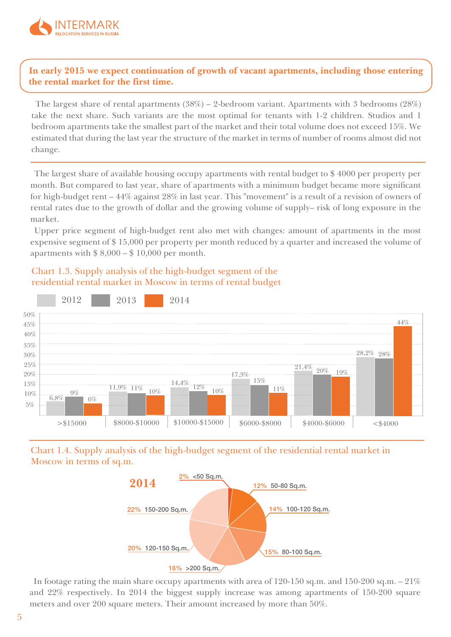

### **In early 2015 we expect continuation of growth of vacant apartments, including those entering the rental market for the first time.**

The largest share of rental apartments (38%) – 2-bedroom variant. Apartments with 3 bedrooms (28%) take the next share. Such variants are the most optimal for tenants with 1-2 children. Studios and 1 bedroom apartments take the smallest part of the market and their total volume does not exceed 15%. We estimated that during the last year the structure of the market in terms of number of rooms almost did not change.

The largest share of available housing occupy apartments with rental budget to \$ 4000 per property per month. But compared to last year, share of apartments with a minimum budget became more significant for high-budget rent – 44% against 28% in last year. This "movement" is a result of a revision of owners of rental rates due to the growth of dollar and the growing volume of supply– risk of long exposure in the market.

Upper price segment of high-budget rent also met with changes: amount of apartments in the most expensive segment of \$ 15,000 per property per month reduced by a quarter and increased the volume of apartments with  $$8,000 - $10,000$  per month.





Chart 1.4. Supply analysis of the high-budget segment of the residential rental market in Moscow in terms of sq.m.



In footage rating the main share occupy apartments with area of 120-150 sq.m. and 150-200 sq.m.  $-21\%$ and 22% respectively. In 2014 the biggest supply increase was among apartments of 150-200 square meters and over 200 square meters. Their amount increased by more than 50%.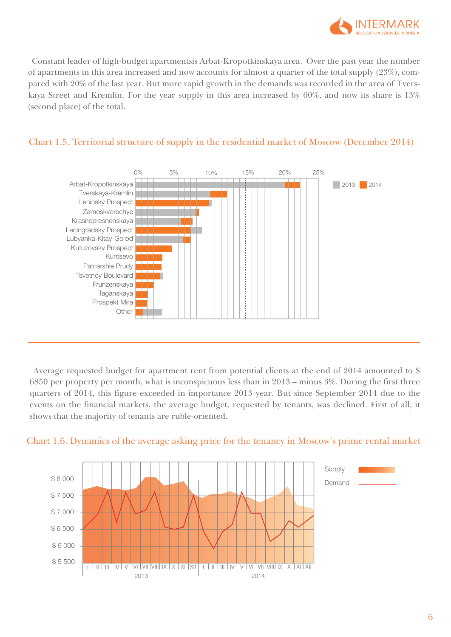

Constant leader of high-budget apartmentsis Arbat-Kropotkinskaya area. Over the past year the number of apartments in this area increased and now accounts for almost a quarter of the total supply (23%), compared with 20% of the last year. But more rapid growth in the demands was recorded in the area of Tverskaya Street and Kremlin. For the year supply in this area increased by 60%, and now its share is 13% (second place) of the total.



#### Chart 1.5. Territorial structure of supply in the residential market of Moscow (December 2014)

Average requested budget for apartment rent from potential clients at the end of 2014 amounted to \$ 6850 per property per month, what is inconspicuous less than in 2013 – minus 3%. During the first three quarters of 2014, this figure exceeded in importance 2013 year. But since September 2014 due to the events on the financial markets, the average budget, requested by tenants, was declined. First of all, it shows that the majority of tenants are ruble-oriented.



#### Chart 1.6. Dynamics of the average asking price for the tenancy in Moscow's prime rental market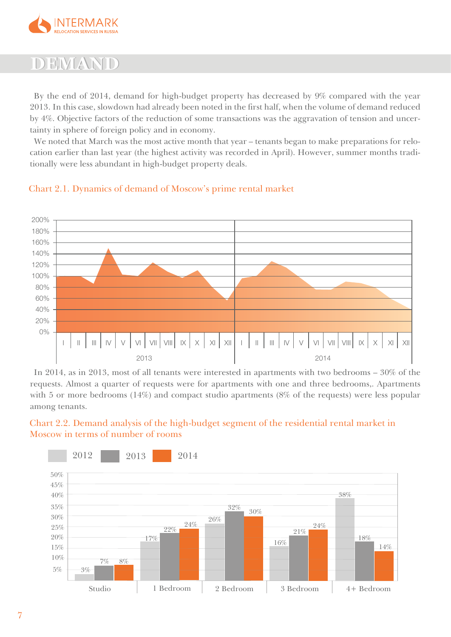

## **DEMAND**

By the end of 2014, demand for high-budget property has decreased by 9% compared with the year 2013. In this case, slowdown had already been noted in the first half, when the volume of demand reduced by 4%. Objective factors of the reduction of some transactions was the aggravation of tension and uncertainty in sphere of foreign policy and in economy.

We noted that March was the most active month that year – tenants began to make preparations for relocation earlier than last year (the highest activity was recorded in April). However, summer months traditionally were less abundant in high-budget property deals.



### Chart 2.1. Dynamics of demand of Moscow's prime rental market

In 2014, as in 2013, most of all tenants were interested in apartments with two bedrooms – 30% of the requests. Almost a quarter of requests were for apartments with one and three bedrooms,. Apartments with 5 or more bedrooms (14%) and compact studio apartments (8% of the requests) were less popular among tenants.



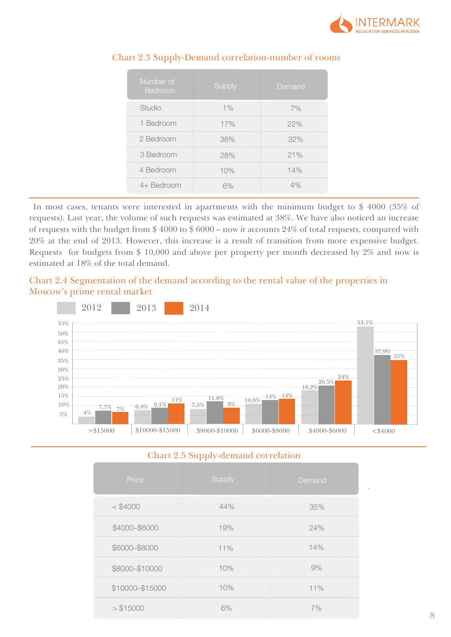

| Number of<br>Bedroom | <b>Supply</b> | Demand |
|----------------------|---------------|--------|
| Studio               | 1%            | 7%     |
| 1 Bedroom            | 17%           | 22%    |
| 2 Bedroom            | 38%           | 32%    |
| 3 Bedroom            | 28%           | 21%    |
| 4 Bedroom            | 10%           | 14%    |
| 4+ Bedroom           | 5%            | 4%     |

#### Chart 2.3 Supply-Demand correlation-number of rooms

In most cases, tenants were interested in apartments with the minimum budget to \$ 4000 (35% of requests). Last year, the volume of such requests was estimated at 38%. We have also noticed an increase of requests with the budget from \$ 4000 to \$ 6000 – now it accounts 24% of total requests, compared with 20% at the end of 2013. However, this increase is a result of transition from more expensive budget. Requests for budgets from \$ 10,000 and above per property per month decreased by 2% and now is estimated at 18% of the total demand.

### Chart 2.4 Segmentation of the demand according to the rental value of the properties in Moscow's prime rental market



#### Chart 2.5 Supply-demand correlation

|                 | $\cdots$ |        |
|-----------------|----------|--------|
| Price           | Supply   | Demand |
| $<$ \$4000      | 44%      | 35%    |
| \$4000-\$6000   | 19%      | 24%    |
| \$6000-\$8000   | 11%      | 14%    |
| \$8000-\$10000  | 10%      | 9%     |
| \$10000-\$15000 | 10%      | 11%    |
| > \$15000       | 6%       | 7%     |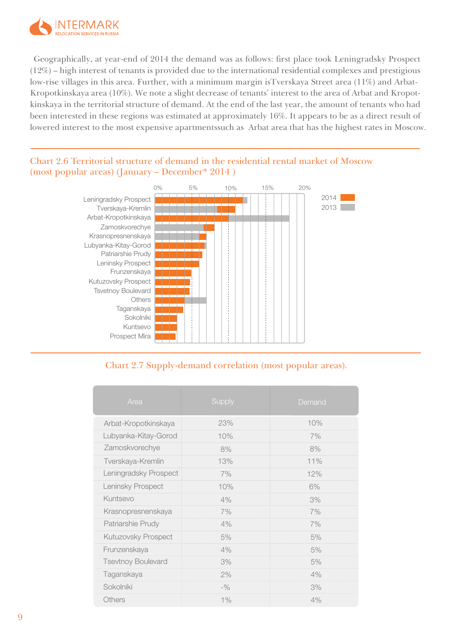

Geographically, at year-end of 2014 the demand was as follows: first place took Leningradsky Prospect (12%) – high interest of tenants is provided due to the international residential complexes and prestigious low-rise villages in this area. Further, with a minimum margin isTverskaya Street area (11%) and Arbat-Kropotkinskaya area (10%). We note a slight decrease of tenants' interest to the area of Arbat and Kropotkinskaya in the territorial structure of demand. At the end of the last year, the amount of tenants who had been interested in these regions was estimated at approximately 16%. It appears to be as a direct result of lowered interest to the most expensive apartmentssuch as Arbat area that has the highest rates in Moscow.

### Chart 2.6 Territorial structure of demand in the residential rental market of Moscow (most popular areas) (January – December\* 2014 )



## Chart 2.7 Supply-demand correlation (most popular areas).

| Area                      | Supply | Demand |
|---------------------------|--------|--------|
| Arbat-Kropotkinskaya      | 23%    | 10%    |
| Lubyanka-Kitay-Gorod      | 10%    | 7%     |
| Zamoskvorechye            | 8%     | 8%     |
| Tverskaya-Kremlin         | 13%    | 11%    |
| Leningradsky Prospect     | 7%     | 12%    |
| Leninsky Prospect         | 10%    | 6%     |
| Kuntsevo                  | 4%     | 3%     |
| Krasnopresnenskaya        | 7%     | 7%     |
| Patriarshie Prudy         | 4%     | 7%     |
| Kutuzovsky Prospect       | 5%     | 5%     |
| Frunzenskaya              | 4%     | 5%     |
| <b>Tsevtnoy Boulevard</b> | 3%     | 5%     |
| Taganskaya                | 2%     | 4%     |
| Sokolniki                 | $-$ %  | 3%     |
| <b>Others</b>             | $1\%$  | 4%     |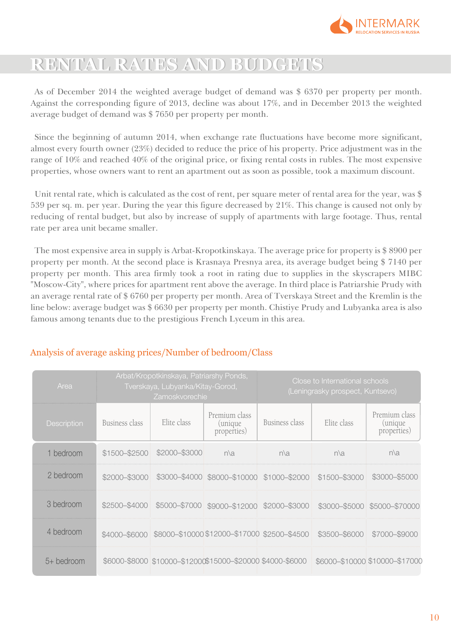

# **RENTAL RATES AND BUDGETS RENTAL RATES AND BUDGETS**

As of December 2014 the weighted average budget of demand was \$ 6370 per property per month. Against the corresponding figure of 2013, decline was about 17%, and in December 2013 the weighted average budget of demand was \$ 7650 per property per month.

Since the beginning of autumn 2014, when exchange rate fluctuations have become more significant, almost every fourth owner (23%) decided to reduce the price of his property. Price adjustment was in the range of 10% and reached 40% of the original price, or fixing rental costs in rubles. The most expensive properties, whose owners want to rent an apartment out as soon as possible, took a maximum discount.

Unit rental rate, which is calculated as the cost of rent, per square meter of rental area for the year, was \$ 539 per sq. m. per year. During the year this figure decreased by 21%. This change is caused not only by reducing of rental budget, but also by increase of supply of apartments with large footage. Thus, rental rate per area unit became smaller.

The most expensive area in supply is Arbat-Kropotkinskaya. The average price for property is \$ 8900 per property per month. At the second place is Krasnaya Presnya area, its average budget being \$ 7140 per property per month. This area firmly took a root in rating due to supplies in the skyscrapers MIBC "Moscow-City", where prices for apartment rent above the average. In third place is Patriarshie Prudy with an average rental rate of \$ 6760 per property per month. Area of Tverskaya Street and the Kremlin is the line below: average budget was \$ 6630 per property per month. Chistiye Prudy and Lubyanka area is also famous among tenants due to the prestigious French Lyceum in this area.

| Area        | Arbat/Kropotkinskaya, Patriarshy Ponds,<br>Close to International schools<br>Tverskaya, Lubyanka/Kitay-Gorod,<br>(Leningrasky prospect, Kuntsevo)<br>Zamoskvorechie |               |                                                            |                |               |                                         |
|-------------|---------------------------------------------------------------------------------------------------------------------------------------------------------------------|---------------|------------------------------------------------------------|----------------|---------------|-----------------------------------------|
| Description | Business class                                                                                                                                                      | Elite class   | Premium class<br><i>(unique)</i><br>properties)            | Business class | Elite class   | Premium class<br>(unique<br>properties) |
| 1 bedroom   | \$1500-\$2500                                                                                                                                                       | \$2000-\$3000 | $n\lambda a$                                               | $n\lambda a$   | $n\lambda a$  | $n\lambda a$                            |
| 2 bedroom   | \$2000-\$3000                                                                                                                                                       | \$3000-\$4000 | \$8000-\$10000                                             | \$1000-\$2000  | \$1500-\$3000 | \$3000-\$5000                           |
| 3 bedroom   | \$2500-\$4000                                                                                                                                                       | \$5000-\$7000 | \$9000-\$12000                                             | \$2000-\$3000  | \$3000-\$5000 | \$5000-\$70000                          |
| 4 bedroom   | \$4000-\$6000                                                                                                                                                       |               | \$8000-\$10000 \$12000-\$17000 \$2500-\$4500               |                | \$3500-\$6000 | \$7000-\$9000                           |
| 5+ bedroom  |                                                                                                                                                                     |               | \$6000-\$8000 \$10000-\$12000\$15000-\$20000 \$4000-\$6000 |                |               | \$6000-\$10000 \$10000-\$17000          |

## Analysis of average asking prices/Number of bedroom/Class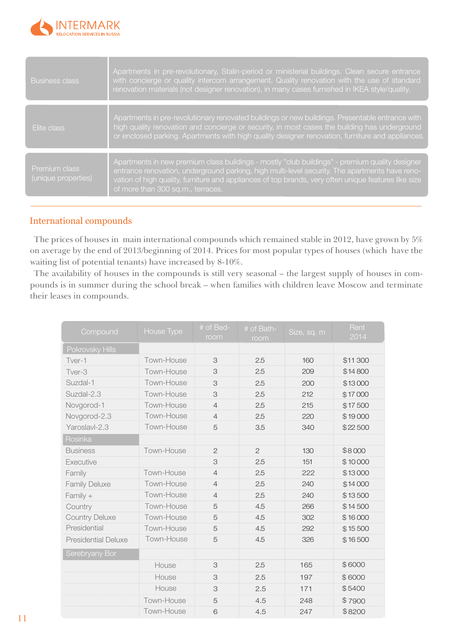

| <b>Business class</b>                | Apartments in pre-revolutionary, Stalin-period or ministerial buildings. Clean secure entrance<br>with concierge or quality intercom arrangement. Quality renovation with the use of standard<br>renovation materials (not designer renovation), in many cases furnished in IKEA style/quality.      |
|--------------------------------------|------------------------------------------------------------------------------------------------------------------------------------------------------------------------------------------------------------------------------------------------------------------------------------------------------|
|                                      |                                                                                                                                                                                                                                                                                                      |
| Elite class                          | Apartments in pre-revolutionary renovated bulidings or new buildings. Presentable entrance with<br>high quality renovation and concierge or security, in most cases the building has underground<br>or enclosed parking. Apartments with high quality designer renovation, furniture and appliances. |
|                                      | Apartments in new premium class buildings - mostly "club buildings" - premium quality designer                                                                                                                                                                                                       |
| Premium class<br>(unique properties) | entrance renovation, underground parking, high multi-level security. The apartments have reno-<br>vation of high quality, furniture and appliances of top brands, very often unique features like size<br>of more than 300 sq.m., terraces.                                                          |

### International compounds

The prices of houses in main international compounds which remained stable in 2012, have grown by 5% on average by the end of 2013/beginning of 2014. Prices for most popular types of houses (which have the waiting list of potential tenants) have increased by 8-10%.

The availability of houses in the compounds is still very seasonal – the largest supply of houses in compounds is in summer during the school break – when families with children leave Moscow and terminate their leases in compounds.

| Compound                   | House Type | # of Bed-<br>room | # of Bath-<br>room | Size, sq. m | Rent<br>2014 |
|----------------------------|------------|-------------------|--------------------|-------------|--------------|
| Pokrovsky Hills            |            |                   |                    |             |              |
| Tver-1                     | Town-House | 3                 | 2.5                | 160         | \$11 300     |
| Tver-3                     | Town-House | 3                 | 2.5                | 209         | \$14800      |
| Suzdal-1                   | Town-House | 3                 | 2.5                | 200         | \$13000      |
| Suzdal-2.3                 | Town-House | 3                 | 2.5                | 212         | \$17000      |
| Novgorod-1                 | Town-House | $\overline{4}$    | 2.5                | 215         | \$17500      |
| Novgorod-2.3               | Town-House | $\overline{4}$    | 2.5                | 220         | \$19000      |
| Yaroslavl-2.3              | Town-House | 5                 | 3.5                | 340         | \$22500      |
| Rosinka                    |            |                   |                    |             |              |
| <b>Business</b>            | Town-House | $\overline{c}$    | $\overline{2}$     | 130         | \$8000       |
| Executive                  |            | 3                 | 2.5                | 151         | \$10000      |
| Family                     | Town-House | $\overline{4}$    | 2.5                | 222         | \$13000      |
| <b>Family Deluxe</b>       | Town-House | $\overline{4}$    | 2.5                | 240         | \$14000      |
| Family +                   | Town-House | $\overline{4}$    | 2.5                | 240         | \$13500      |
| Country                    | Town-House | 5                 | 4.5                | 266         | \$14500      |
| <b>Country Deluxe</b>      | Town-House | 5                 | 4.5                | 302         | \$16000      |
| Presidential               | Town-House | 5                 | 4.5                | 292         | \$15500      |
| <b>Presidential Deluxe</b> | Town-House | 5                 | 4.5                | 326         | \$16500      |
| Serebryany Bor             |            |                   |                    |             |              |
|                            | House      | 3                 | 2.5                | 165         | \$6000       |
|                            | House      | 3                 | 2.5                | 197         | \$6000       |
|                            | House      | 3                 | 2.5                | 171         | \$5400       |
|                            | Town-House | 5                 | 4.5                | 248         | \$7900       |
|                            | Town-House | 6                 | 4.5                | 247         | \$8200       |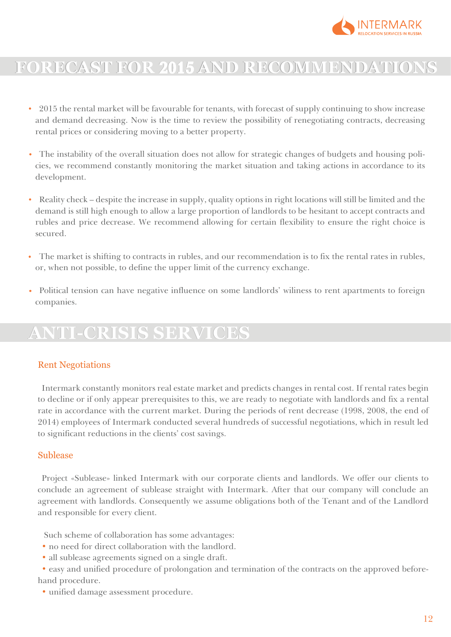

# **FORECAST FOR 2015 AND RECOMMENDATIONS FORECAST FOR 2015 AND RECOMMENDATIONS**

- 2015 the rental market will be favourable for tenants, with forecast of supply continuing to show increase and demand decreasing. Now is the time to review the possibility of renegotiating contracts, decreasing rental prices or considering moving to a better property.
- The instability of the overall situation does not allow for strategic changes of budgets and housing policies, we recommend constantly monitoring the market situation and taking actions in accordance to its development.
- Reality check despite the increase in supply, quality options in right locations will still be limited and the demand is still high enough to allow a large proportion of landlords to be hesitant to accept contracts and rubles and price decrease. We recommend allowing for certain flexibility to ensure the right choice is secured.
- The market is shifting to contracts in rubles, and our recommendation is to fix the rental rates in rubles, or, when not possible, to define the upper limit of the currency exchange.
- Political tension can have negative influence on some landlords' willness to rent apartments to foreign companies.

## **ANTI-CRISIS SERVICES**

### Rent Negotiations

Intermark constantly monitors real estate market and predicts changes in rental cost. If rental rates begin to decline or if only appear prerequisites to this, we are ready to negotiate with landlords and fix a rental rate in accordance with the current market. During the periods of rent decrease (1998, 2008, the end of 2014) employees of Intermark conducted several hundreds of successful negotiations, which in result led to significant reductions in the clients' cost savings.

### Sublease

Project «Sublease» linked Intermark with our corporate clients and landlords. We offer our clients to conclude an agreement of sublease straight with Intermark. After that our company will conclude an agreement with landlords. Consequently we assume obligations both of the Tenant and of the Landlord and responsible for every client.

Such scheme of collaboration has some advantages:

- no need for direct collaboration with the landlord.
- all sublease agreements signed on a single draft.
- easy and unified procedure of prolongation and termination of the contracts on the approved beforehand procedure.
	- unified damage assessment procedure.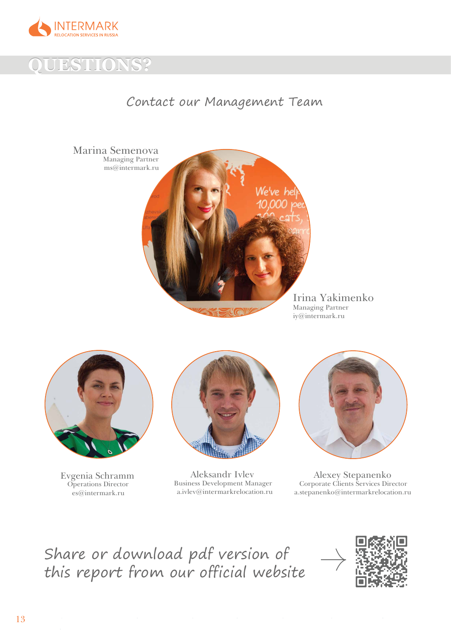



## Contact our Management Team



iy@intermark.ru



Evgenia Schramm Operations Director es@intermark.ru



Aleksandr Ivlev Business Development Manager a.ivlev@intermarkrelocation.ru

 $\mathcal{L}(\mathcal{L}(\mathcal{L}(\mathcal{L}(\mathcal{L}(\mathcal{L}(\mathcal{L}(\mathcal{L}(\mathcal{L}(\mathcal{L}(\mathcal{L}(\mathcal{L}(\mathcal{L}(\mathcal{L}(\mathcal{L}(\mathcal{L}(\mathcal{L}(\mathcal{L}(\mathcal{L}(\mathcal{L}(\mathcal{L}(\mathcal{L}(\mathcal{L}(\mathcal{L}(\mathcal{L}(\mathcal{L}(\mathcal{L}(\mathcal{L}(\mathcal{L}(\mathcal{L}(\mathcal{L}(\mathcal{L}(\mathcal{L}(\mathcal{L}(\mathcal{L}(\mathcal{L}(\mathcal{$ 



Alexey Stepanenko Corporate Clients Services Director a.stepanenko@intermarkrelocation.ru

## Share or download pdf version of this report from our official website

 $\label{eq:2.1} \frac{1}{\sqrt{2}}\sum_{i=1}^n\frac{1}{\sqrt{2}}\sum_{i=1}^n\frac{1}{\sqrt{2}}\sum_{i=1}^n\frac{1}{\sqrt{2}}\sum_{i=1}^n\frac{1}{\sqrt{2}}\sum_{i=1}^n\frac{1}{\sqrt{2}}\sum_{i=1}^n\frac{1}{\sqrt{2}}\sum_{i=1}^n\frac{1}{\sqrt{2}}\sum_{i=1}^n\frac{1}{\sqrt{2}}\sum_{i=1}^n\frac{1}{\sqrt{2}}\sum_{i=1}^n\frac{1}{\sqrt{2}}\sum_{i=1}^n\frac$ 

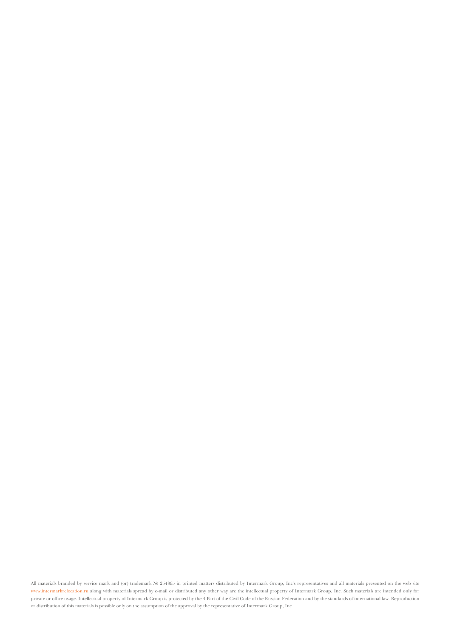All materials branded by service mark and (or) trademark № 254895 in printed matters distributed by Intermark Group, Inc's representatives and all materials presented on the web site www.intermarkrelocation.ru along with materials spread by e-mail or distributed any other way are the intellectual property of Intermark Group, Inc. Such materials are intended only for private or office usage. Intellectual property of Intermark Group is protected by the 4 Part of the Civil Code of the Russian Federation and by the standards of international law. Reproduction or distribution of this materials is possible only on the assumption of the approval by the representative of Intermark Group, Inc.